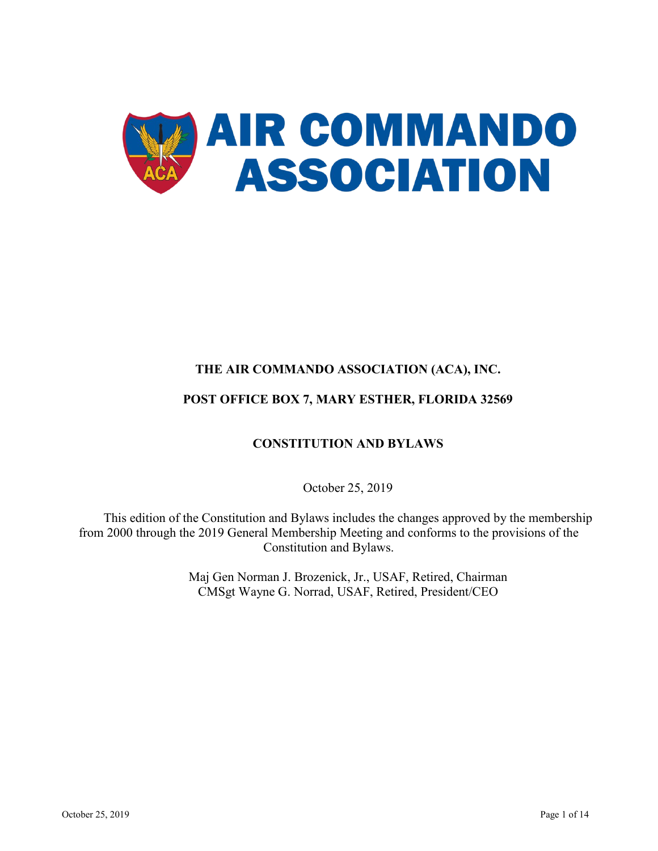

# **THE AIR COMMANDO ASSOCIATION (ACA), INC. POST OFFICE BOX 7, MARY ESTHER, FLORIDA 32569**

# **CONSTITUTION AND BYLAWS**

October 25, 2019

This edition of the Constitution and Bylaws includes the changes approved by the membership from 2000 through the 2019 General Membership Meeting and conforms to the provisions of the Constitution and Bylaws.

> Maj Gen Norman J. Brozenick, Jr., USAF, Retired, Chairman CMSgt Wayne G. Norrad, USAF, Retired, President/CEO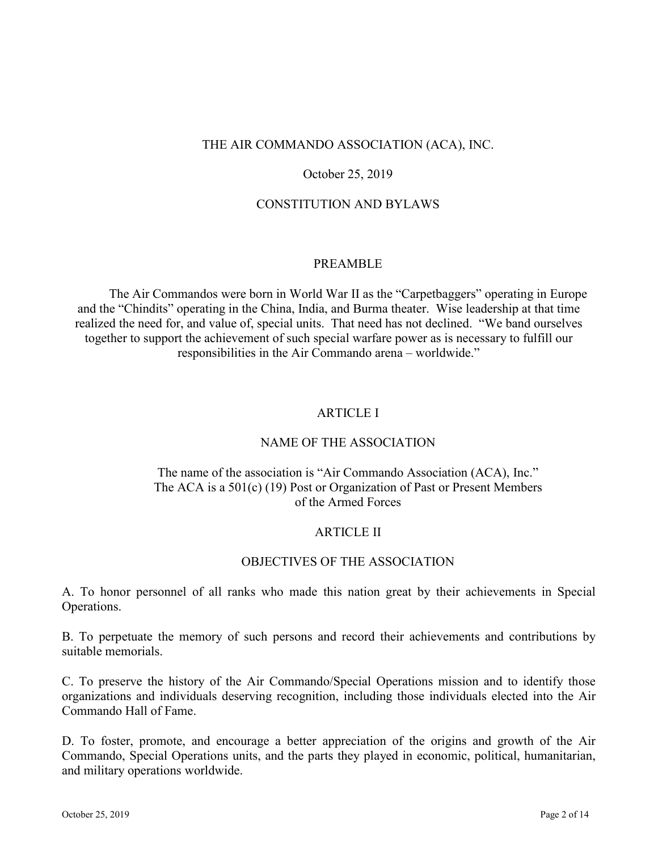## THE AIR COMMANDO ASSOCIATION (ACA), INC.

## October 25, 2019

#### CONSTITUTION AND BYLAWS

#### PREAMBLE

The Air Commandos were born in World War II as the "Carpetbaggers" operating in Europe and the "Chindits" operating in the China, India, and Burma theater. Wise leadership at that time realized the need for, and value of, special units. That need has not declined. "We band ourselves together to support the achievement of such special warfare power as is necessary to fulfill our responsibilities in the Air Commando arena – worldwide."

## ARTICLE I

#### NAME OF THE ASSOCIATION

## The name of the association is "Air Commando Association (ACA), Inc." The ACA is a 501(c) (19) Post or Organization of Past or Present Members of the Armed Forces

#### ARTICLE II

#### OBJECTIVES OF THE ASSOCIATION

A. To honor personnel of all ranks who made this nation great by their achievements in Special Operations.

B. To perpetuate the memory of such persons and record their achievements and contributions by suitable memorials.

C. To preserve the history of the Air Commando/Special Operations mission and to identify those organizations and individuals deserving recognition, including those individuals elected into the Air Commando Hall of Fame.

D. To foster, promote, and encourage a better appreciation of the origins and growth of the Air Commando, Special Operations units, and the parts they played in economic, political, humanitarian, and military operations worldwide.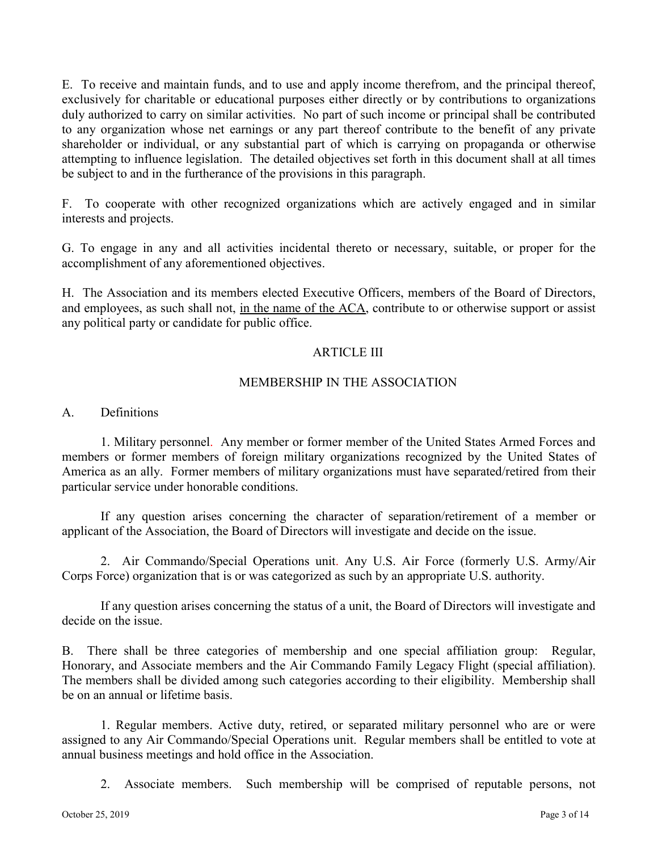E. To receive and maintain funds, and to use and apply income therefrom, and the principal thereof, exclusively for charitable or educational purposes either directly or by contributions to organizations duly authorized to carry on similar activities. No part of such income or principal shall be contributed to any organization whose net earnings or any part thereof contribute to the benefit of any private shareholder or individual, or any substantial part of which is carrying on propaganda or otherwise attempting to influence legislation. The detailed objectives set forth in this document shall at all times be subject to and in the furtherance of the provisions in this paragraph.

F. To cooperate with other recognized organizations which are actively engaged and in similar interests and projects.

G. To engage in any and all activities incidental thereto or necessary, suitable, or proper for the accomplishment of any aforementioned objectives.

H. The Association and its members elected Executive Officers, members of the Board of Directors, and employees, as such shall not, in the name of the ACA, contribute to or otherwise support or assist any political party or candidate for public office.

## ARTICLE III

## MEMBERSHIP IN THE ASSOCIATION

A. Definitions

1. Military personnel. Any member or former member of the United States Armed Forces and members or former members of foreign military organizations recognized by the United States of America as an ally. Former members of military organizations must have separated/retired from their particular service under honorable conditions.

If any question arises concerning the character of separation/retirement of a member or applicant of the Association, the Board of Directors will investigate and decide on the issue.

2. Air Commando/Special Operations unit. Any U.S. Air Force (formerly U.S. Army/Air Corps Force) organization that is or was categorized as such by an appropriate U.S. authority.

If any question arises concerning the status of a unit, the Board of Directors will investigate and decide on the issue.

B. There shall be three categories of membership and one special affiliation group: Regular, Honorary, and Associate members and the Air Commando Family Legacy Flight (special affiliation). The members shall be divided among such categories according to their eligibility. Membership shall be on an annual or lifetime basis.

1. Regular members. Active duty, retired, or separated military personnel who are or were assigned to any Air Commando/Special Operations unit. Regular members shall be entitled to vote at annual business meetings and hold office in the Association.

2. Associate members. Such membership will be comprised of reputable persons, not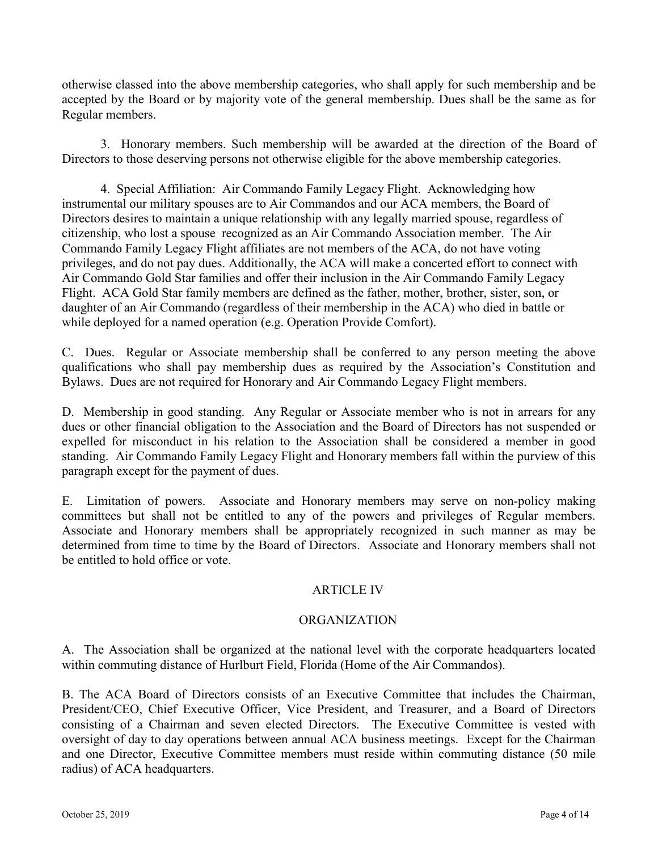otherwise classed into the above membership categories, who shall apply for such membership and be accepted by the Board or by majority vote of the general membership. Dues shall be the same as for Regular members.

3. Honorary members. Such membership will be awarded at the direction of the Board of Directors to those deserving persons not otherwise eligible for the above membership categories.

4. Special Affiliation: Air Commando Family Legacy Flight. Acknowledging how instrumental our military spouses are to Air Commandos and our ACA members, the Board of Directors desires to maintain a unique relationship with any legally married spouse, regardless of citizenship, who lost a spouse recognized as an Air Commando Association member. The Air Commando Family Legacy Flight affiliates are not members of the ACA, do not have voting privileges, and do not pay dues. Additionally, the ACA will make a concerted effort to connect with Air Commando Gold Star families and offer their inclusion in the Air Commando Family Legacy Flight. ACA Gold Star family members are defined as the father, mother, brother, sister, son, or daughter of an Air Commando (regardless of their membership in the ACA) who died in battle or while deployed for a named operation (e.g. Operation Provide Comfort).

C. Dues. Regular or Associate membership shall be conferred to any person meeting the above qualifications who shall pay membership dues as required by the Association's Constitution and Bylaws. Dues are not required for Honorary and Air Commando Legacy Flight members.

D. Membership in good standing. Any Regular or Associate member who is not in arrears for any dues or other financial obligation to the Association and the Board of Directors has not suspended or expelled for misconduct in his relation to the Association shall be considered a member in good standing. Air Commando Family Legacy Flight and Honorary members fall within the purview of this paragraph except for the payment of dues.

E. Limitation of powers. Associate and Honorary members may serve on non-policy making committees but shall not be entitled to any of the powers and privileges of Regular members. Associate and Honorary members shall be appropriately recognized in such manner as may be determined from time to time by the Board of Directors. Associate and Honorary members shall not be entitled to hold office or vote.

# ARTICLE IV

# ORGANIZATION

A. The Association shall be organized at the national level with the corporate headquarters located within commuting distance of Hurlburt Field, Florida (Home of the Air Commandos).

B. The ACA Board of Directors consists of an Executive Committee that includes the Chairman, President/CEO, Chief Executive Officer, Vice President, and Treasurer, and a Board of Directors consisting of a Chairman and seven elected Directors. The Executive Committee is vested with oversight of day to day operations between annual ACA business meetings. Except for the Chairman and one Director, Executive Committee members must reside within commuting distance (50 mile radius) of ACA headquarters.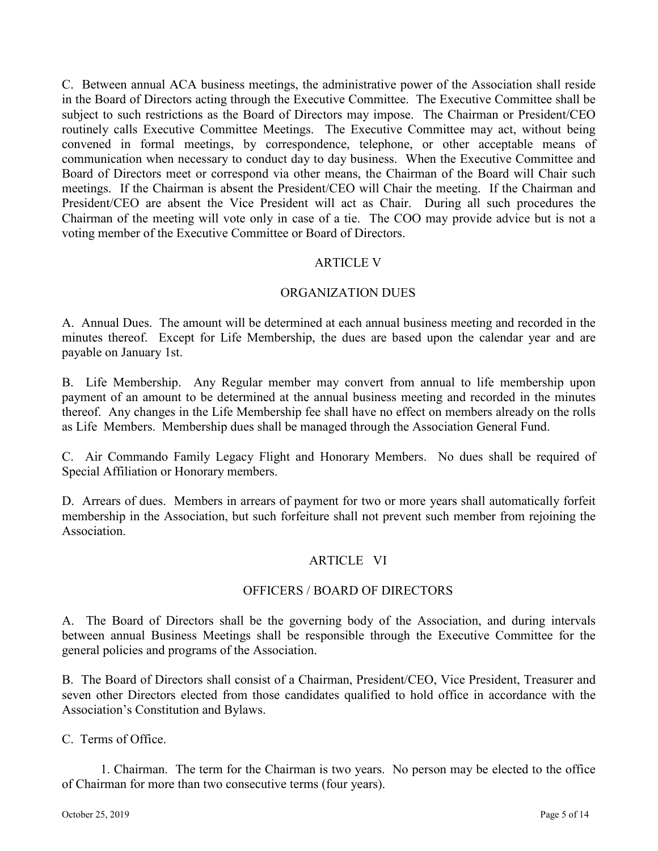C. Between annual ACA business meetings, the administrative power of the Association shall reside in the Board of Directors acting through the Executive Committee. The Executive Committee shall be subject to such restrictions as the Board of Directors may impose. The Chairman or President/CEO routinely calls Executive Committee Meetings. The Executive Committee may act, without being convened in formal meetings, by correspondence, telephone, or other acceptable means of communication when necessary to conduct day to day business. When the Executive Committee and Board of Directors meet or correspond via other means, the Chairman of the Board will Chair such meetings. If the Chairman is absent the President/CEO will Chair the meeting. If the Chairman and President/CEO are absent the Vice President will act as Chair. During all such procedures the Chairman of the meeting will vote only in case of a tie. The COO may provide advice but is not a voting member of the Executive Committee or Board of Directors.

# ARTICLE V

## ORGANIZATION DUES

A. Annual Dues. The amount will be determined at each annual business meeting and recorded in the minutes thereof. Except for Life Membership, the dues are based upon the calendar year and are payable on January 1st.

B. Life Membership. Any Regular member may convert from annual to life membership upon payment of an amount to be determined at the annual business meeting and recorded in the minutes thereof. Any changes in the Life Membership fee shall have no effect on members already on the rolls as Life Members. Membership dues shall be managed through the Association General Fund.

C. Air Commando Family Legacy Flight and Honorary Members. No dues shall be required of Special Affiliation or Honorary members.

D. Arrears of dues. Members in arrears of payment for two or more years shall automatically forfeit membership in the Association, but such forfeiture shall not prevent such member from rejoining the Association.

## ARTICLE VI

## OFFICERS / BOARD OF DIRECTORS

A. The Board of Directors shall be the governing body of the Association, and during intervals between annual Business Meetings shall be responsible through the Executive Committee for the general policies and programs of the Association.

B. The Board of Directors shall consist of a Chairman, President/CEO, Vice President, Treasurer and seven other Directors elected from those candidates qualified to hold office in accordance with the Association's Constitution and Bylaws.

C. Terms of Office.

1. Chairman. The term for the Chairman is two years. No person may be elected to the office of Chairman for more than two consecutive terms (four years).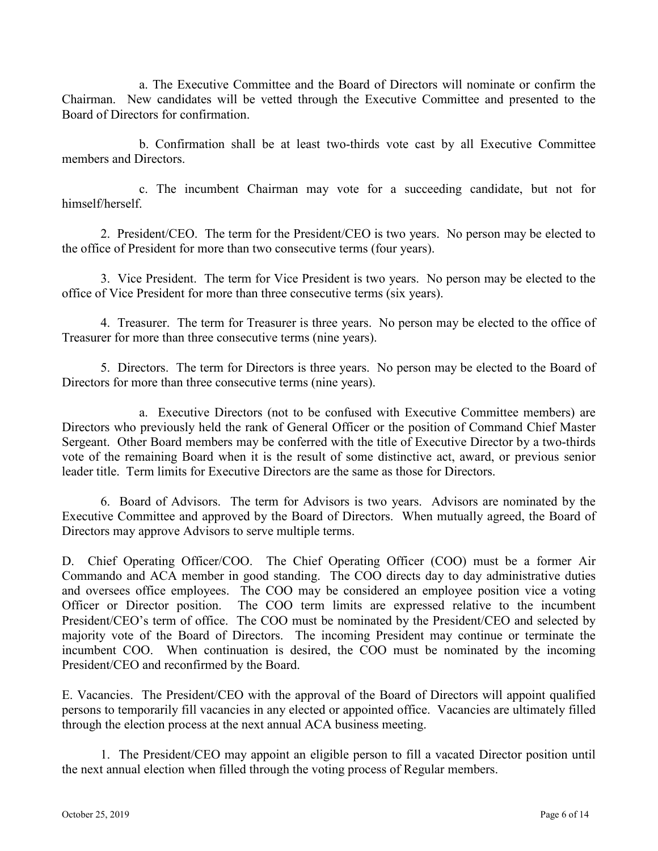a. The Executive Committee and the Board of Directors will nominate or confirm the Chairman. New candidates will be vetted through the Executive Committee and presented to the Board of Directors for confirmation.

b. Confirmation shall be at least two-thirds vote cast by all Executive Committee members and Directors.

c. The incumbent Chairman may vote for a succeeding candidate, but not for himself/herself.

2. President/CEO. The term for the President/CEO is two years. No person may be elected to the office of President for more than two consecutive terms (four years).

3. Vice President. The term for Vice President is two years. No person may be elected to the office of Vice President for more than three consecutive terms (six years).

4. Treasurer. The term for Treasurer is three years. No person may be elected to the office of Treasurer for more than three consecutive terms (nine years).

5. Directors. The term for Directors is three years. No person may be elected to the Board of Directors for more than three consecutive terms (nine years).

a. Executive Directors (not to be confused with Executive Committee members) are Directors who previously held the rank of General Officer or the position of Command Chief Master Sergeant. Other Board members may be conferred with the title of Executive Director by a two-thirds vote of the remaining Board when it is the result of some distinctive act, award, or previous senior leader title. Term limits for Executive Directors are the same as those for Directors.

6. Board of Advisors. The term for Advisors is two years. Advisors are nominated by the Executive Committee and approved by the Board of Directors. When mutually agreed, the Board of Directors may approve Advisors to serve multiple terms.

D. Chief Operating Officer/COO. The Chief Operating Officer (COO) must be a former Air Commando and ACA member in good standing. The COO directs day to day administrative duties and oversees office employees. The COO may be considered an employee position vice a voting Officer or Director position. The COO term limits are expressed relative to the incumbent President/CEO's term of office. The COO must be nominated by the President/CEO and selected by majority vote of the Board of Directors. The incoming President may continue or terminate the incumbent COO. When continuation is desired, the COO must be nominated by the incoming President/CEO and reconfirmed by the Board.

E. Vacancies. The President/CEO with the approval of the Board of Directors will appoint qualified persons to temporarily fill vacancies in any elected or appointed office. Vacancies are ultimately filled through the election process at the next annual ACA business meeting.

1. The President/CEO may appoint an eligible person to fill a vacated Director position until the next annual election when filled through the voting process of Regular members.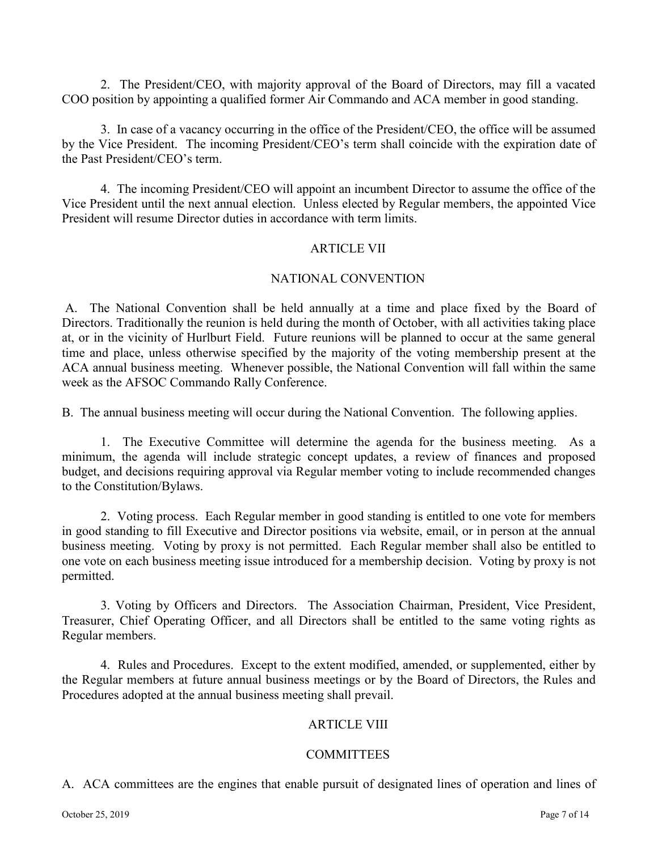2. The President/CEO, with majority approval of the Board of Directors, may fill a vacated COO position by appointing a qualified former Air Commando and ACA member in good standing.

3. In case of a vacancy occurring in the office of the President/CEO, the office will be assumed by the Vice President. The incoming President/CEO's term shall coincide with the expiration date of the Past President/CEO's term.

4. The incoming President/CEO will appoint an incumbent Director to assume the office of the Vice President until the next annual election. Unless elected by Regular members, the appointed Vice President will resume Director duties in accordance with term limits.

## ARTICLE VII

# NATIONAL CONVENTION

A. The National Convention shall be held annually at a time and place fixed by the Board of Directors. Traditionally the reunion is held during the month of October, with all activities taking place at, or in the vicinity of Hurlburt Field. Future reunions will be planned to occur at the same general time and place, unless otherwise specified by the majority of the voting membership present at the ACA annual business meeting. Whenever possible, the National Convention will fall within the same week as the AFSOC Commando Rally Conference.

B. The annual business meeting will occur during the National Convention. The following applies.

1. The Executive Committee will determine the agenda for the business meeting. As a minimum, the agenda will include strategic concept updates, a review of finances and proposed budget, and decisions requiring approval via Regular member voting to include recommended changes to the Constitution/Bylaws.

2. Voting process. Each Regular member in good standing is entitled to one vote for members in good standing to fill Executive and Director positions via website, email, or in person at the annual business meeting. Voting by proxy is not permitted. Each Regular member shall also be entitled to one vote on each business meeting issue introduced for a membership decision. Voting by proxy is not permitted.

3. Voting by Officers and Directors. The Association Chairman, President, Vice President, Treasurer, Chief Operating Officer, and all Directors shall be entitled to the same voting rights as Regular members.

4. Rules and Procedures. Except to the extent modified, amended, or supplemented, either by the Regular members at future annual business meetings or by the Board of Directors, the Rules and Procedures adopted at the annual business meeting shall prevail.

## **ARTICLE VIII**

## COMMITTEES

A. ACA committees are the engines that enable pursuit of designated lines of operation and lines of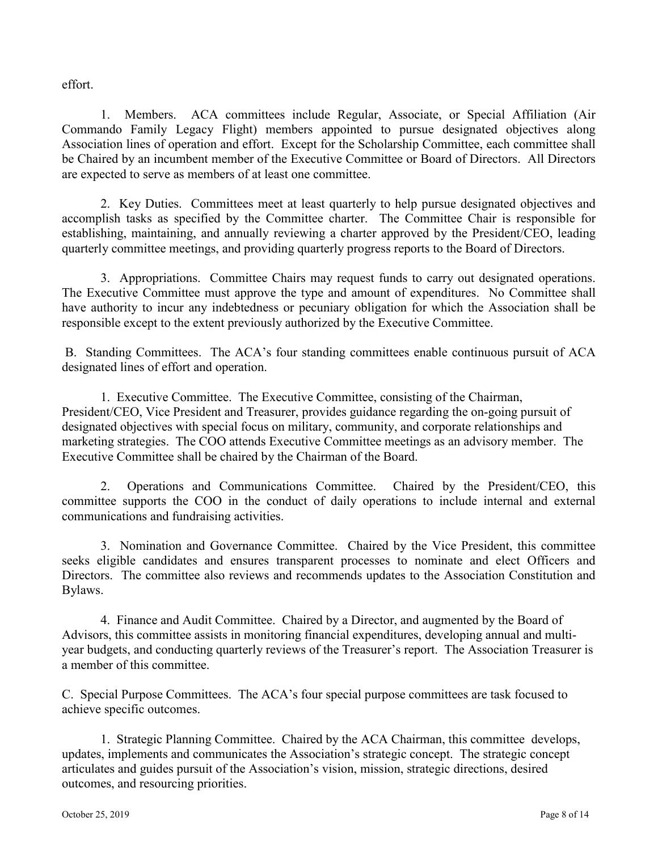effort.

1. Members. ACA committees include Regular, Associate, or Special Affiliation (Air Commando Family Legacy Flight) members appointed to pursue designated objectives along Association lines of operation and effort. Except for the Scholarship Committee, each committee shall be Chaired by an incumbent member of the Executive Committee or Board of Directors. All Directors are expected to serve as members of at least one committee.

2. Key Duties. Committees meet at least quarterly to help pursue designated objectives and accomplish tasks as specified by the Committee charter. The Committee Chair is responsible for establishing, maintaining, and annually reviewing a charter approved by the President/CEO, leading quarterly committee meetings, and providing quarterly progress reports to the Board of Directors.

3. Appropriations. Committee Chairs may request funds to carry out designated operations. The Executive Committee must approve the type and amount of expenditures. No Committee shall have authority to incur any indebtedness or pecuniary obligation for which the Association shall be responsible except to the extent previously authorized by the Executive Committee.

B. Standing Committees. The ACA's four standing committees enable continuous pursuit of ACA designated lines of effort and operation.

1. Executive Committee. The Executive Committee, consisting of the Chairman, President/CEO, Vice President and Treasurer, provides guidance regarding the on-going pursuit of designated objectives with special focus on military, community, and corporate relationships and marketing strategies. The COO attends Executive Committee meetings as an advisory member. The Executive Committee shall be chaired by the Chairman of the Board.

2. Operations and Communications Committee. Chaired by the President/CEO, this committee supports the COO in the conduct of daily operations to include internal and external communications and fundraising activities.

3. Nomination and Governance Committee. Chaired by the Vice President, this committee seeks eligible candidates and ensures transparent processes to nominate and elect Officers and Directors. The committee also reviews and recommends updates to the Association Constitution and Bylaws.

4. Finance and Audit Committee. Chaired by a Director, and augmented by the Board of Advisors, this committee assists in monitoring financial expenditures, developing annual and multiyear budgets, and conducting quarterly reviews of the Treasurer's report. The Association Treasurer is a member of this committee.

C. Special Purpose Committees. The ACA's four special purpose committees are task focused to achieve specific outcomes.

1. Strategic Planning Committee. Chaired by the ACA Chairman, this committee develops, updates, implements and communicates the Association's strategic concept. The strategic concept articulates and guides pursuit of the Association's vision, mission, strategic directions, desired outcomes, and resourcing priorities.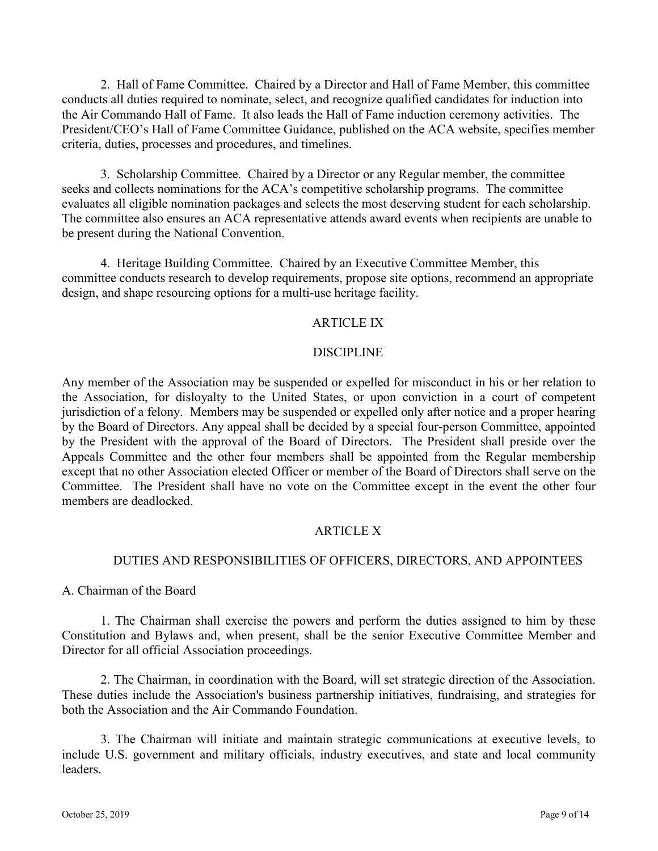2. Hall of Fame Committee. Chaired by a Director and Hall of Fame Member, this committee conducts all duties required to nominate, select, and recognize qualified candidates for induction into the Air Commando Hall of Fame. It also leads the Hall of Fame induction ceremony activities. The President/CEO's Hall of Fame Committee Guidance, published on the ACA website, specifies member criteria, duties, processes and procedures, and timelines.

3. Scholarship Committee. Chaired by a Director or any Regular member, the committee seeks and collects nominations for the ACA's competitive scholarship programs. The committee evaluates all eligible nomination packages and selects the most deserving student for each scholarship. The committee also ensures an ACA representative attends award events when recipients are unable to be present during the National Convention.

4. Heritage Building Committee. Chaired by an Executive Committee Member, this committee conducts research to develop requirements, propose site options, recommend an appropriate design, and shape resourcing options for a multi-use heritage facility.

## ARTICLE IX

#### DISCIPLINE

Any member of the Association may be suspended or expelled for misconduct in his or her relation to the Association, for disloyalty to the United States, or upon conviction in a court of competent jurisdiction of a felony. Members may be suspended or expelled only after notice and a proper hearing by the Board of Directors. Any appeal shall be decided by a special four-person Committee, appointed by the President with the approval of the Board of Directors. The President shall preside over the Appeals Committee and the other four members shall be appointed from the Regular membership except that no other Association elected Officer or member of the Board of Directors shall serve on the Committee. The President shall have no vote on the Committee except in the event the other four members are deadlocked.

## ARTICLE X

## DUTIES AND RESPONSIBILITIES OF OFFICERS, DIRECTORS, AND APPOINTEES

A. Chairman of the Board

1. The Chairman shall exercise the powers and perform the duties assigned to him by these Constitution and Bylaws and, when present, shall be the senior Executive Committee Member and Director for all official Association proceedings.

2. The Chairman, in coordination with the Board, will set strategic direction of the Association. These duties include the Association's business partnership initiatives, fundraising, and strategies for both the Association and the Air Commando Foundation.

3. The Chairman will initiate and maintain strategic communications at executive levels, to include U.S. government and military officials, industry executives, and state and local community leaders.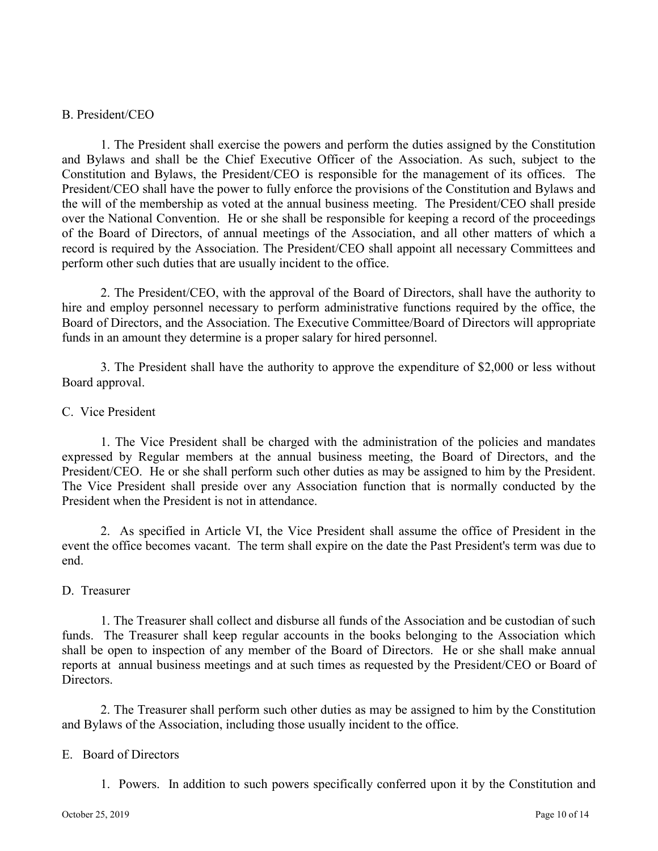## B. President/CEO

1. The President shall exercise the powers and perform the duties assigned by the Constitution and Bylaws and shall be the Chief Executive Officer of the Association. As such, subject to the Constitution and Bylaws, the President/CEO is responsible for the management of its offices. The President/CEO shall have the power to fully enforce the provisions of the Constitution and Bylaws and the will of the membership as voted at the annual business meeting. The President/CEO shall preside over the National Convention. He or she shall be responsible for keeping a record of the proceedings of the Board of Directors, of annual meetings of the Association, and all other matters of which a record is required by the Association. The President/CEO shall appoint all necessary Committees and perform other such duties that are usually incident to the office.

2. The President/CEO, with the approval of the Board of Directors, shall have the authority to hire and employ personnel necessary to perform administrative functions required by the office, the Board of Directors, and the Association. The Executive Committee/Board of Directors will appropriate funds in an amount they determine is a proper salary for hired personnel.

3. The President shall have the authority to approve the expenditure of \$2,000 or less without Board approval.

## C. Vice President

1. The Vice President shall be charged with the administration of the policies and mandates expressed by Regular members at the annual business meeting, the Board of Directors, and the President/CEO. He or she shall perform such other duties as may be assigned to him by the President. The Vice President shall preside over any Association function that is normally conducted by the President when the President is not in attendance.

2. As specified in Article VI, the Vice President shall assume the office of President in the event the office becomes vacant. The term shall expire on the date the Past President's term was due to end.

## D. Treasurer

1. The Treasurer shall collect and disburse all funds of the Association and be custodian of such funds. The Treasurer shall keep regular accounts in the books belonging to the Association which shall be open to inspection of any member of the Board of Directors. He or she shall make annual reports at annual business meetings and at such times as requested by the President/CEO or Board of Directors.

2. The Treasurer shall perform such other duties as may be assigned to him by the Constitution and Bylaws of the Association, including those usually incident to the office.

## E. Board of Directors

1. Powers. In addition to such powers specifically conferred upon it by the Constitution and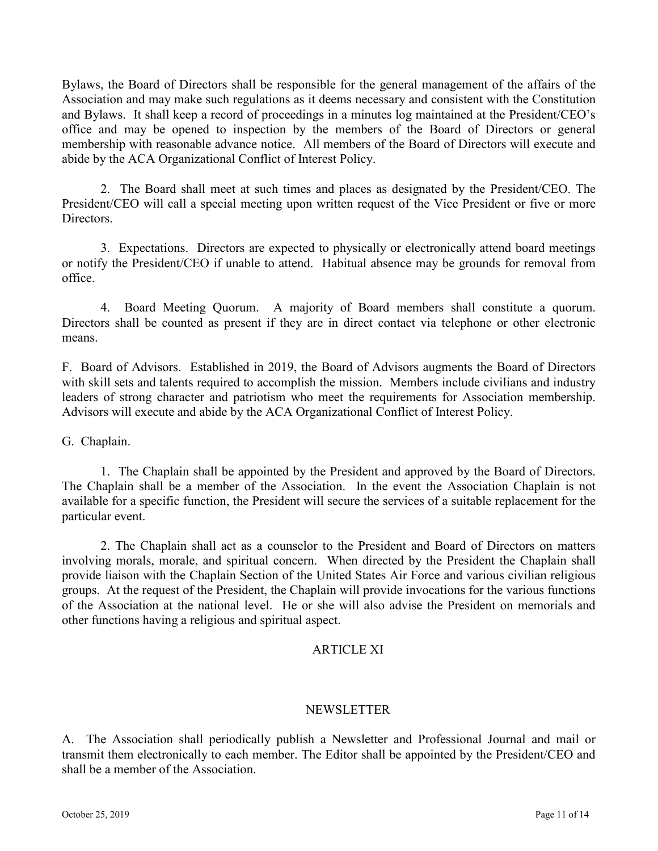Bylaws, the Board of Directors shall be responsible for the general management of the affairs of the Association and may make such regulations as it deems necessary and consistent with the Constitution and Bylaws. It shall keep a record of proceedings in a minutes log maintained at the President/CEO's office and may be opened to inspection by the members of the Board of Directors or general membership with reasonable advance notice. All members of the Board of Directors will execute and abide by the ACA Organizational Conflict of Interest Policy.

2. The Board shall meet at such times and places as designated by the President/CEO. The President/CEO will call a special meeting upon written request of the Vice President or five or more Directors.

3. Expectations. Directors are expected to physically or electronically attend board meetings or notify the President/CEO if unable to attend. Habitual absence may be grounds for removal from office.

4. Board Meeting Quorum. A majority of Board members shall constitute a quorum. Directors shall be counted as present if they are in direct contact via telephone or other electronic means.

F. Board of Advisors. Established in 2019, the Board of Advisors augments the Board of Directors with skill sets and talents required to accomplish the mission. Members include civilians and industry leaders of strong character and patriotism who meet the requirements for Association membership. Advisors will execute and abide by the ACA Organizational Conflict of Interest Policy.

G. Chaplain.

1. The Chaplain shall be appointed by the President and approved by the Board of Directors. The Chaplain shall be a member of the Association. In the event the Association Chaplain is not available for a specific function, the President will secure the services of a suitable replacement for the particular event.

2. The Chaplain shall act as a counselor to the President and Board of Directors on matters involving morals, morale, and spiritual concern. When directed by the President the Chaplain shall provide liaison with the Chaplain Section of the United States Air Force and various civilian religious groups. At the request of the President, the Chaplain will provide invocations for the various functions of the Association at the national level. He or she will also advise the President on memorials and other functions having a religious and spiritual aspect.

# ARTICLE XI

## NEWSLETTER

A. The Association shall periodically publish a Newsletter and Professional Journal and mail or transmit them electronically to each member. The Editor shall be appointed by the President/CEO and shall be a member of the Association.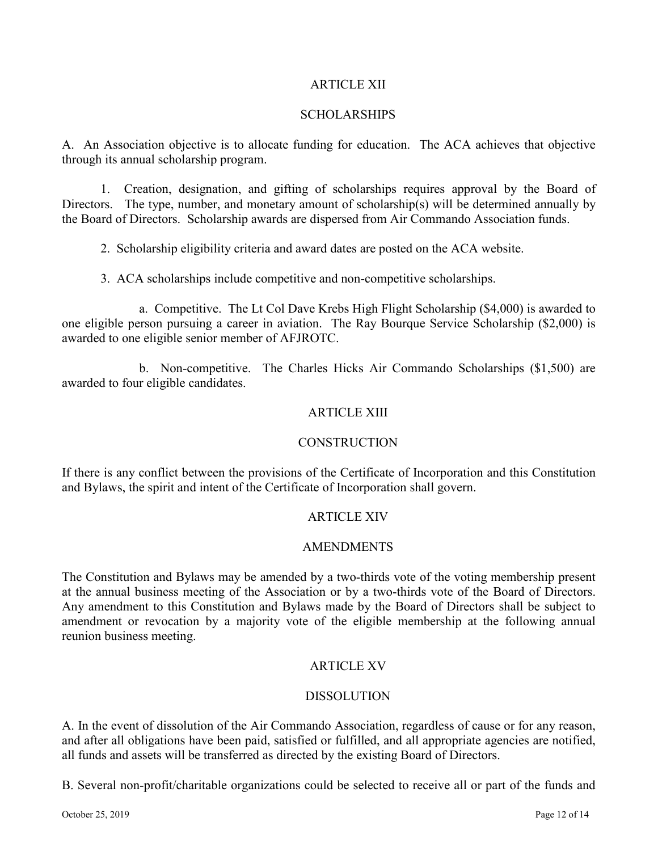## ARTICLE XII

## SCHOLARSHIPS

A. An Association objective is to allocate funding for education. The ACA achieves that objective through its annual scholarship program.

1. Creation, designation, and gifting of scholarships requires approval by the Board of Directors. The type, number, and monetary amount of scholarship(s) will be determined annually by the Board of Directors. Scholarship awards are dispersed from Air Commando Association funds.

2. Scholarship eligibility criteria and award dates are posted on the ACA website.

3. ACA scholarships include competitive and non-competitive scholarships.

a. Competitive. The Lt Col Dave Krebs High Flight Scholarship (\$4,000) is awarded to one eligible person pursuing a career in aviation. The Ray Bourque Service Scholarship (\$2,000) is awarded to one eligible senior member of AFJROTC.

b. Non-competitive. The Charles Hicks Air Commando Scholarships (\$1,500) are awarded to four eligible candidates.

## ARTICLE XIII

## **CONSTRUCTION**

If there is any conflict between the provisions of the Certificate of Incorporation and this Constitution and Bylaws, the spirit and intent of the Certificate of Incorporation shall govern.

# ARTICLE XIV

## AMENDMENTS

The Constitution and Bylaws may be amended by a two-thirds vote of the voting membership present at the annual business meeting of the Association or by a two-thirds vote of the Board of Directors. Any amendment to this Constitution and Bylaws made by the Board of Directors shall be subject to amendment or revocation by a majority vote of the eligible membership at the following annual reunion business meeting.

## ARTICLE XV

## DISSOLUTION

A. In the event of dissolution of the Air Commando Association, regardless of cause or for any reason, and after all obligations have been paid, satisfied or fulfilled, and all appropriate agencies are notified, all funds and assets will be transferred as directed by the existing Board of Directors.

B. Several non-profit/charitable organizations could be selected to receive all or part of the funds and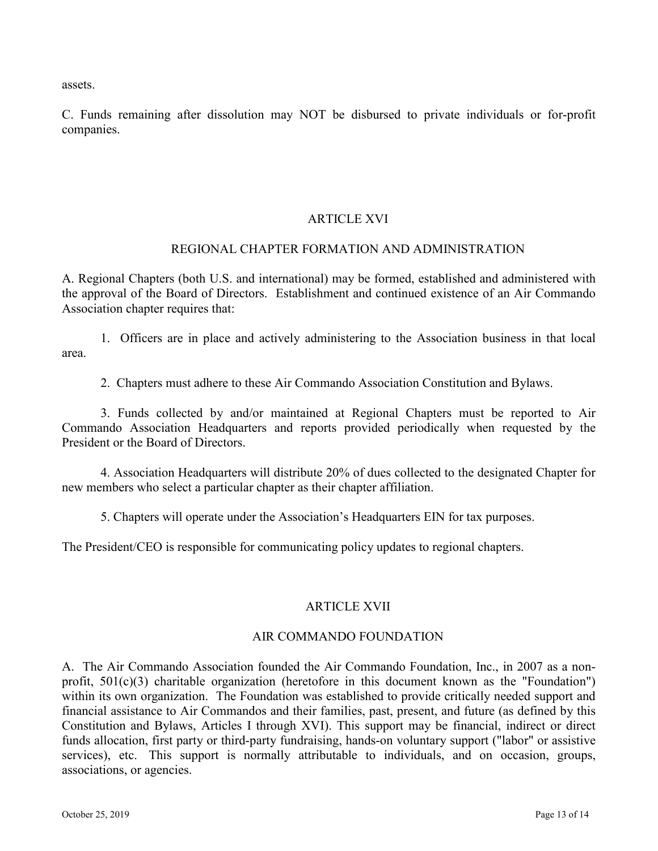assets.

C. Funds remaining after dissolution may NOT be disbursed to private individuals or for-profit companies.

# ARTICLE XVI

## REGIONAL CHAPTER FORMATION AND ADMINISTRATION

A. Regional Chapters (both U.S. and international) may be formed, established and administered with the approval of the Board of Directors. Establishment and continued existence of an Air Commando Association chapter requires that:

1. Officers are in place and actively administering to the Association business in that local area.

2. Chapters must adhere to these Air Commando Association Constitution and Bylaws.

3. Funds collected by and/or maintained at Regional Chapters must be reported to Air Commando Association Headquarters and reports provided periodically when requested by the President or the Board of Directors.

4. Association Headquarters will distribute 20% of dues collected to the designated Chapter for new members who select a particular chapter as their chapter affiliation.

5. Chapters will operate under the Association's Headquarters EIN for tax purposes.

The President/CEO is responsible for communicating policy updates to regional chapters.

## ARTICLE XVII

## AIR COMMANDO FOUNDATION

A. The Air Commando Association founded the Air Commando Foundation, Inc., in 2007 as a nonprofit, 501(c)(3) charitable organization (heretofore in this document known as the "Foundation") within its own organization. The Foundation was established to provide critically needed support and financial assistance to Air Commandos and their families, past, present, and future (as defined by this Constitution and Bylaws, Articles I through XVI). This support may be financial, indirect or direct funds allocation, first party or third-party fundraising, hands-on voluntary support ("labor" or assistive services), etc. This support is normally attributable to individuals, and on occasion, groups, associations, or agencies.